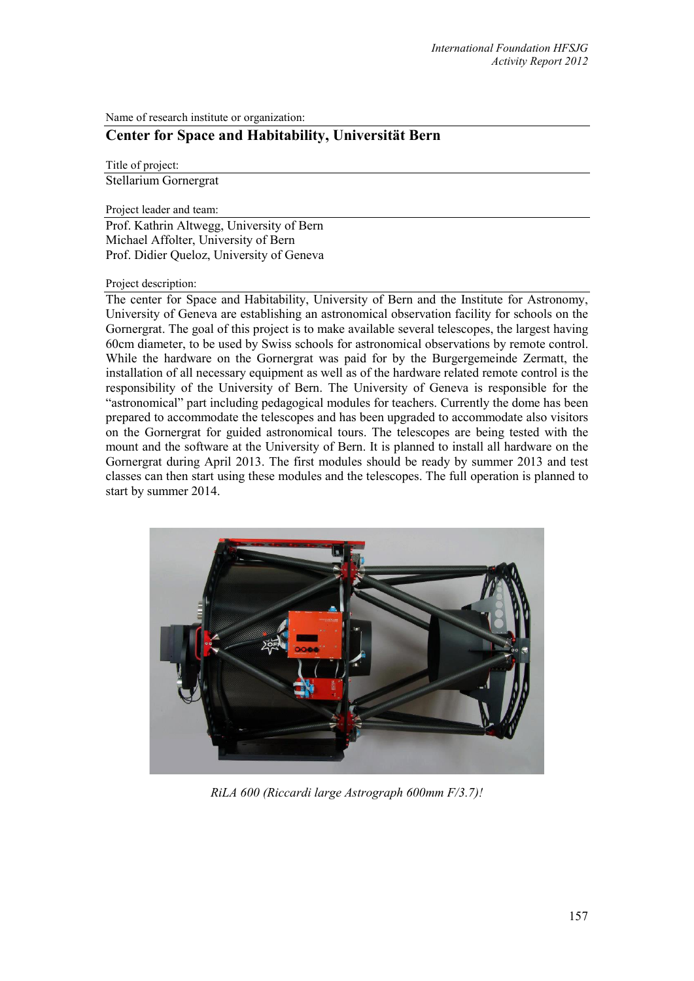Name of research institute or organization:

## **Center for Space and Habitability, Universität Bern**

Title of project:

Stellarium Gornergrat

Project leader and team:

Prof. Kathrin Altwegg, University of Bern Michael Affolter, University of Bern Prof. Didier Queloz, University of Geneva

## Project description:

The center for Space and Habitability, University of Bern and the Institute for Astronomy, University of Geneva are establishing an astronomical observation facility for schools on the Gornergrat. The goal of this project is to make available several telescopes, the largest having 60cm diameter, to be used by Swiss schools for astronomical observations by remote control. While the hardware on the Gornergrat was paid for by the Burgergemeinde Zermatt, the installation of all necessary equipment as well as of the hardware related remote control is the responsibility of the University of Bern. The University of Geneva is responsible for the "astronomical" part including pedagogical modules for teachers. Currently the dome has been prepared to accommodate the telescopes and has been upgraded to accommodate also visitors on the Gornergrat for guided astronomical tours. The telescopes are being tested with the mount and the software at the University of Bern. It is planned to install all hardware on the Gornergrat during April 2013. The first modules should be ready by summer 2013 and test classes can then start using these modules and the telescopes. The full operation is planned to start by summer 2014.



*RiLA 600 (Riccardi large Astrograph 600mm F/3.7)!*